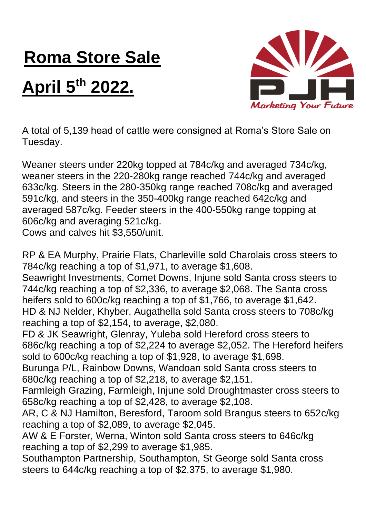## **Roma Store Sale**

## **April 5th 2022.**



A total of 5,139 head of cattle were consigned at Roma's Store Sale on Tuesday.

Weaner steers under 220kg topped at 784c/kg and averaged 734c/kg, weaner steers in the 220-280kg range reached 744c/kg and averaged 633c/kg. Steers in the 280-350kg range reached 708c/kg and averaged 591c/kg, and steers in the 350-400kg range reached 642c/kg and averaged 587c/kg. Feeder steers in the 400-550kg range topping at 606c/kg and averaging 521c/kg.

Cows and calves hit \$3,550/unit.

RP & EA Murphy, Prairie Flats, Charleville sold Charolais cross steers to 784c/kg reaching a top of \$1,971, to average \$1,608.

Seawright Investments, Comet Downs, Injune sold Santa cross steers to 744c/kg reaching a top of \$2,336, to average \$2,068. The Santa cross heifers sold to 600c/kg reaching a top of \$1,766, to average \$1,642. HD & NJ Nelder, Khyber, Augathella sold Santa cross steers to 708c/kg reaching a top of \$2,154, to average, \$2,080.

FD & JK Seawright, Glenray, Yuleba sold Hereford cross steers to 686c/kg reaching a top of \$2,224 to average \$2,052. The Hereford heifers sold to 600c/kg reaching a top of \$1,928, to average \$1,698.

Burunga P/L, Rainbow Downs, Wandoan sold Santa cross steers to 680c/kg reaching a top of \$2,218, to average \$2,151.

Farmleigh Grazing, Farmleigh, Injune sold Droughtmaster cross steers to 658c/kg reaching a top of \$2,428, to average \$2,108.

AR, C & NJ Hamilton, Beresford, Taroom sold Brangus steers to 652c/kg reaching a top of \$2,089, to average \$2,045.

AW & E Forster, Werna, Winton sold Santa cross steers to 646c/kg reaching a top of \$2,299 to average \$1,985.

Southampton Partnership, Southampton, St George sold Santa cross steers to 644c/kg reaching a top of \$2,375, to average \$1,980.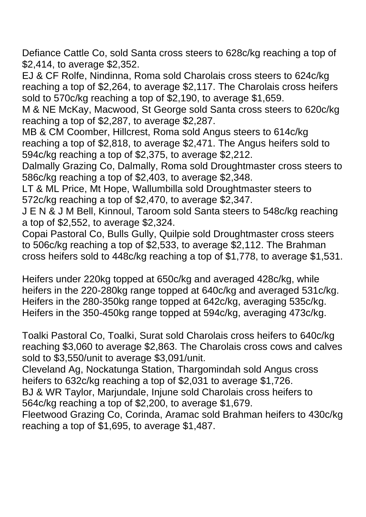Defiance Cattle Co, sold Santa cross steers to 628c/kg reaching a top of \$2,414, to average \$2,352.

EJ & CF Rolfe, Nindinna, Roma sold Charolais cross steers to 624c/kg reaching a top of \$2,264, to average \$2,117. The Charolais cross heifers sold to 570c/kg reaching a top of \$2,190, to average \$1,659.

M & NE McKay, Macwood, St George sold Santa cross steers to 620c/kg reaching a top of \$2,287, to average \$2,287.

MB & CM Coomber, Hillcrest, Roma sold Angus steers to 614c/kg reaching a top of \$2,818, to average \$2,471. The Angus heifers sold to 594c/kg reaching a top of \$2,375, to average \$2,212.

Dalmally Grazing Co, Dalmally, Roma sold Droughtmaster cross steers to 586c/kg reaching a top of \$2,403, to average \$2,348.

LT & ML Price, Mt Hope, Wallumbilla sold Droughtmaster steers to 572c/kg reaching a top of \$2,470, to average \$2,347.

J E N & J M Bell, Kinnoul, Taroom sold Santa steers to 548c/kg reaching a top of \$2,552, to average \$2,324.

Copai Pastoral Co, Bulls Gully, Quilpie sold Droughtmaster cross steers to 506c/kg reaching a top of \$2,533, to average \$2,112. The Brahman cross heifers sold to 448c/kg reaching a top of \$1,778, to average \$1,531.

Heifers under 220kg topped at 650c/kg and averaged 428c/kg, while heifers in the 220-280kg range topped at 640c/kg and averaged 531c/kg. Heifers in the 280-350kg range topped at 642c/kg, averaging 535c/kg. Heifers in the 350-450kg range topped at 594c/kg, averaging 473c/kg.

Toalki Pastoral Co, Toalki, Surat sold Charolais cross heifers to 640c/kg reaching \$3,060 to average \$2,863. The Charolais cross cows and calves sold to \$3,550/unit to average \$3,091/unit.

Cleveland Ag, Nockatunga Station, Thargomindah sold Angus cross heifers to 632c/kg reaching a top of \$2,031 to average \$1,726.

BJ & WR Taylor, Marjundale, Injune sold Charolais cross heifers to 564c/kg reaching a top of \$2,200, to average \$1,679.

Fleetwood Grazing Co, Corinda, Aramac sold Brahman heifers to 430c/kg reaching a top of \$1,695, to average \$1,487.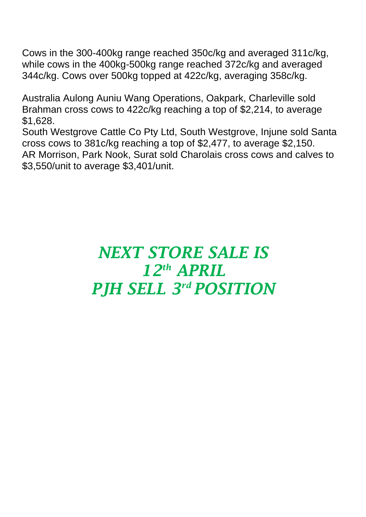Cows in the 300-400kg range reached 350c/kg and averaged 311c/kg, while cows in the 400kg-500kg range reached 372c/kg and averaged 344c/kg. Cows over 500kg topped at 422c/kg, averaging 358c/kg.

Australia Aulong Auniu Wang Operations, Oakpark, Charleville sold Brahman cross cows to 422c/kg reaching a top of \$2,214, to average \$1,628.

South Westgrove Cattle Co Pty Ltd, South Westgrove, Injune sold Santa cross cows to 381c/kg reaching a top of \$2,477, to average \$2,150. AR Morrison, Park Nook, Surat sold Charolais cross cows and calves to \$3,550/unit to average \$3,401/unit.

## *NEXT STORE SALE IS 12th APRIL PJH SELL 3 rd POSITION*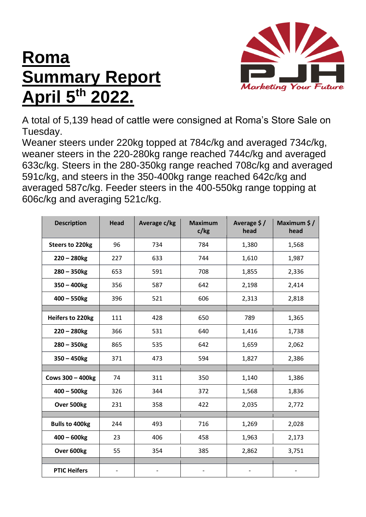## **Roma Summary Report April 5th 2022.**



A total of 5,139 head of cattle were consigned at Roma's Store Sale on Tuesday.

Weaner steers under 220kg topped at 784c/kg and averaged 734c/kg, weaner steers in the 220-280kg range reached 744c/kg and averaged 633c/kg. Steers in the 280-350kg range reached 708c/kg and averaged 591c/kg, and steers in the 350-400kg range reached 642c/kg and averaged 587c/kg. Feeder steers in the 400-550kg range topping at 606c/kg and averaging 521c/kg.

| <b>Description</b>      | <b>Head</b> | Average c/kg | <b>Maximum</b><br>c/kg | Average \$/<br>head | Maximum \$/<br>head |
|-------------------------|-------------|--------------|------------------------|---------------------|---------------------|
| <b>Steers to 220kg</b>  | 96          | 734          | 784                    | 1,380               | 1,568               |
| $220 - 280$ kg          | 227         | 633          | 744                    | 1,610               | 1,987               |
| $280 - 350$ kg          | 653         | 591          | 708                    | 1,855               | 2,336               |
| $350 - 400$ kg          | 356         | 587          | 642                    | 2,198               | 2,414               |
| $400 - 550$ kg          | 396         | 521          | 606                    | 2,313               | 2,818               |
|                         |             |              |                        |                     |                     |
| <b>Heifers to 220kg</b> | 111         | 428          | 650                    | 789                 | 1,365               |
| $220 - 280$ kg          | 366         | 531          | 640                    | 1,416               | 1,738               |
| $280 - 350$ kg          | 865         | 535          | 642                    | 1,659               | 2,062               |
| $350 - 450$ kg          | 371         | 473          | 594                    | 1,827               | 2,386               |
|                         |             |              |                        |                     |                     |
| <b>Cows 300 - 400kg</b> | 74          | 311          | 350                    | 1,140               | 1,386               |
| $400 - 500$ kg          | 326         | 344          | 372                    | 1,568               | 1,836               |
| Over 500kg              | 231         | 358          | 422                    | 2,035               | 2,772               |
|                         |             |              |                        |                     |                     |
| <b>Bulls to 400kg</b>   | 244         | 493          | 716                    | 1,269               | 2,028               |
| $400 - 600$ kg          | 23          | 406          | 458                    | 1,963               | 2,173               |
| Over 600kg              | 55          | 354          | 385                    | 2,862               | 3,751               |
|                         |             |              |                        |                     |                     |
| <b>PTIC Heifers</b>     |             |              |                        |                     |                     |